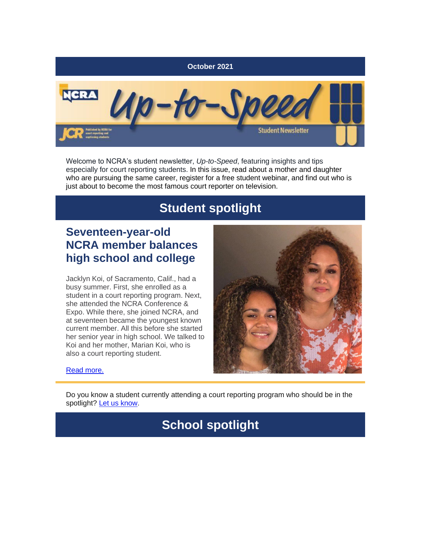

Welcome to NCRA's student newsletter, *Up-to-Speed*, featuring insights and tips especially for court reporting students. In this issue, read about a mother and daughter who are pursuing the same career, register for a free student webinar, and find out who is just about to become the most famous court reporter on television.

## **Student spotlight**

### **Seventeen-year-old NCRA member balances high school and college**

Jacklyn Koi, of Sacramento, Calif., had a busy summer. First, she enrolled as a student in a court reporting program. Next, she attended the NCRA Conference & Expo. While there, she joined NCRA, and at seventeen became the youngest known current member. All this before she started her senior year in high school. We talked to Koi and her mother, Marian Koi, who is also a court reporting student.



[Read more.](https://www.thejcr.com/2021/09/07/seventeen-year-old-ncra-member-balances-high-school-and-college/)

Do you know a student currently attending a court reporting program who should be in the spotlight? [Let us know.](mailto:jcrfeedback@ncra.org)

## **School spotlight**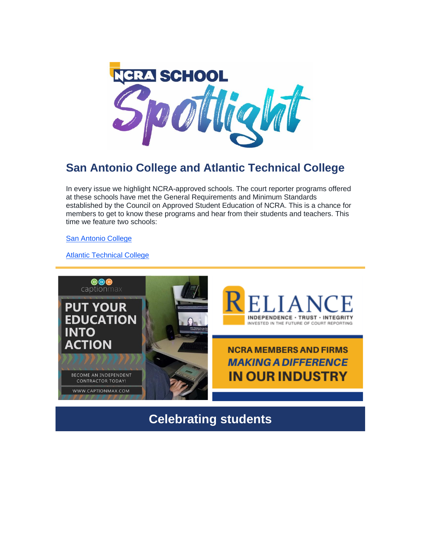

## **San Antonio College and Atlantic Technical College**

In every issue we highlight NCRA-approved schools. The court reporter programs offered at these schools have met the General Requirements and Minimum Standards established by the Council on Approved Student Education of NCRA. This is a chance for members to get to know these programs and hear from their students and teachers. This time we feature two schools:

[San Antonio College](https://www.thejcr.com/2021/09/07/school-spotlight-san-antonio-college/)

[Atlantic Technical College](https://www.thejcr.com/2021/10/18/school-spotlight-atlantic-technical-college/)



**Celebrating students**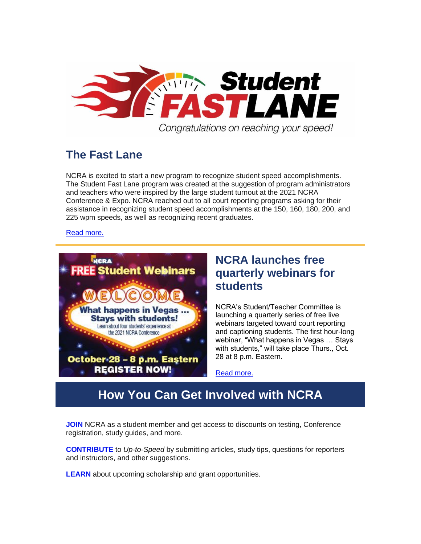

## **The Fast Lane**

NCRA is excited to start a new program to recognize student speed accomplishments. The Student Fast Lane program was created at the suggestion of program administrators and teachers who were inspired by the large student turnout at the 2021 NCRA Conference & Expo. NCRA reached out to all court reporting programs asking for their assistance in recognizing student speed accomplishments at the 150, 160, 180, 200, and 225 wpm speeds, as well as recognizing recent graduates.

#### [Read more.](https://www.thejcr.com/2021/10/20/the-fast-lane/)



### **NCRA launches free quarterly webinars for students**

NCRA's Student/Teacher Committee is launching a quarterly series of free live webinars targeted toward court reporting and captioning students. The first hour-long webinar, "What happens in Vegas … Stays with students," will take place Thurs., Oct. 28 at 8 p.m. Eastern.

[Read more.](https://www.thejcr.com/2021/10/18/ncra-launches-free-quarterly-webinars-for-students/)

## **How You Can Get Involved with NCRA**

**[JOIN](https://portal.ncra.org/JoinNCRA/SelectPackage.aspx)** NCRA as a student member and get access to discounts on testing, Conference registration, study guides, and more.

**[CONTRIBUTE](mailto:jcrfeedback@ncra.org)** to *Up-to-Speed* by submitting articles, study tips, questions for reporters and instructors, and other suggestions.

**[LEARN](https://www.ncra.org/home/students-teachers/Student-resources/scholarships-and-grants)** about upcoming scholarship and grant opportunities.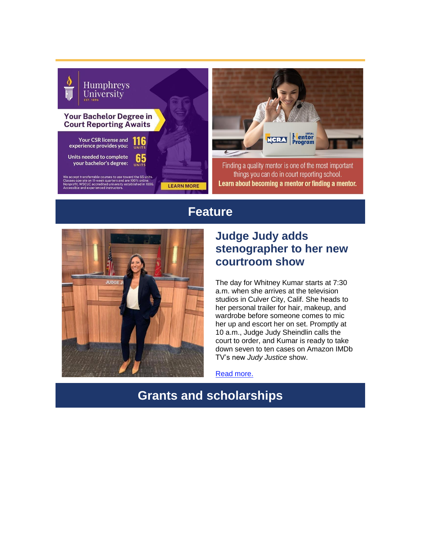



Finding a quality mentor is one of the most important things you can do in court reporting school. Learn about becoming a mentor or finding a mentor.

### **Feature**



### **Judge Judy adds stenographer to her new courtroom show**

The day for Whitney Kumar starts at 7:30 a.m. when she arrives at the television studios in Culver City, Calif. She heads to her personal trailer for hair, makeup, and wardrobe before someone comes to mic her up and escort her on set. Promptly at 10 a.m., Judge Judy Sheindlin calls the court to order, and Kumar is ready to take down seven to ten cases on Amazon IMDb TV's new *Judy Justice* show.

[Read more.](https://www.thejcr.com/2021/09/14/judge-judy-adds-stenographer-to-her-new-courtroom-show/)

## **Grants and scholarships**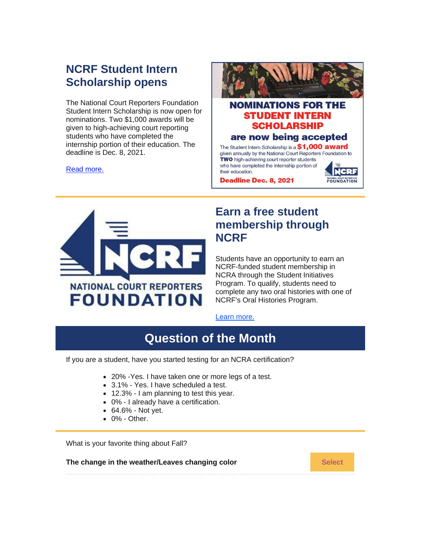### **NCRF Student Intern Scholarship opens**

The National Court Reporters Foundation Student Intern Scholarship is now open for nominations. Two \$1,000 awards will be given to high-achieving court reporting students who have completed the internship portion of their education. The deadline is Dec. 8, 2021.

[Read more.](https://www.thejcr.com/2021/09/21/ncrf-student-intern-scholarship-opens/)



#### **NOMINATIONS FOR THE STUDENT INTERN SCHOLARSHIP** are now being accepted The Student Intern Scholarship is a \$1,000 award given annually by the National Court Reporters Foundation to

**NCRF** 

FOUNDATION

TWO high-achieving court reporter students who have completed the internship portion of their education.

**Deadline Dec. 8, 2021** 



### **Earn a free student membership through NCRF**

Students have an opportunity to earn an NCRF-funded student membership in NCRA through the Student Initiatives Program. To qualify, students need to complete any two oral histories with one of NCRF's Oral Histories Program.

#### [Learn more.](https://www.ncra.org/home/get-involved/foundation/foundation-programs/Oral-Histories-Program)

# **Question of the Month**

If you are a student, have you started testing for an NCRA certification?

- 20% -Yes. I have taken one or more legs of a test.
- 3.1% Yes. I have scheduled a test.
- 12.3% I am planning to test this year.
- 0% I already have a certification.
- 64.6% Not yet.
- 0% Other.

What is your favorite thing about Fall?

**The change in the weather/Leaves changing color <b>[Select](https://campaignlp.constantcontact.com/forms/response?id=tiLlM7NobJkk6NSSojFP1hLu33Am_XJNOGj2fbdopy-8AeWz4n0ytXMNwEdccQhvKmbuIGdY9pSIarIg2WIlBm9oqqp4S-LqbaWHdgWB13BIjo034NUSyKcXwcv7aqkYA1uM6YEQOpMLlNkUENVr5ggylE_hqHHW2q9_77YYREBgq_jCysG2ETCq8tEpd0ozuzWk_BooTyXFYMefTsr-aw&encVer=1&c=&ch=&mode=preview)** Select